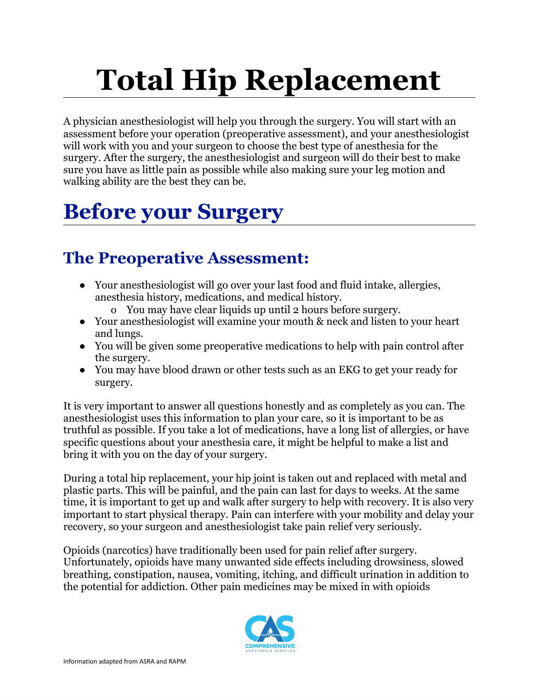# **Total Hip Replacement**

A physician anesthesiologist will help you through the surgery. You will start with an assessment before your operation (preoperative assessment), and your anesthesiologist will work with you and your surgeon to choose the best type of anesthesia for the surgery. After the surgery, the anesthesiologist and surgeon will do their best to make sure you have as little pain as possible while also making sure your leg motion and walking ability are the best they can be.

# **Before your Surgery**

## **The Preoperative Assessment:**

- Your anesthesiologist will go over your last food and fluid intake, allergies, anesthesia history, medications, and medical history.
	- o You may have clear liquids up until 2 hours before surgery.
- Your anesthesiologist will examine your mouth & neck and listen to your heart and lungs.
- You will be given some preoperative medications to help with pain control after the surgery.
- You may have blood drawn or other tests such as an EKG to get your ready for surgery.

It is very important to answer all questions honestly and as completely as you can. The anesthesiologist uses this information to plan your care, so it is important to be as truthful as possible. If you take a lot of medications, have a long list of allergies, or have specific questions about your anesthesia care, it might be helpful to make a list and bring it with you on the day of your surgery.

During a total hip replacement, your hip joint is taken out and replaced with metal and plastic parts. This will be painful, and the pain can last for days to weeks. At the same time, it is important to get up and walk after surgery to help with recovery. It is also very important to start physical therapy. Pain can interfere with your mobility and delay your recovery, so your surgeon and anesthesiologist take pain relief very seriously.

Opioids (narcotics) have traditionally been used for pain relief after surgery. Unfortunately, opioids have many unwanted side effects including drowsiness, slowed breathing, constipation, nausea, vomiting, itching, and difficult urination in addition to the potential for addiction. Other pain medicines may be mixed in with opioids

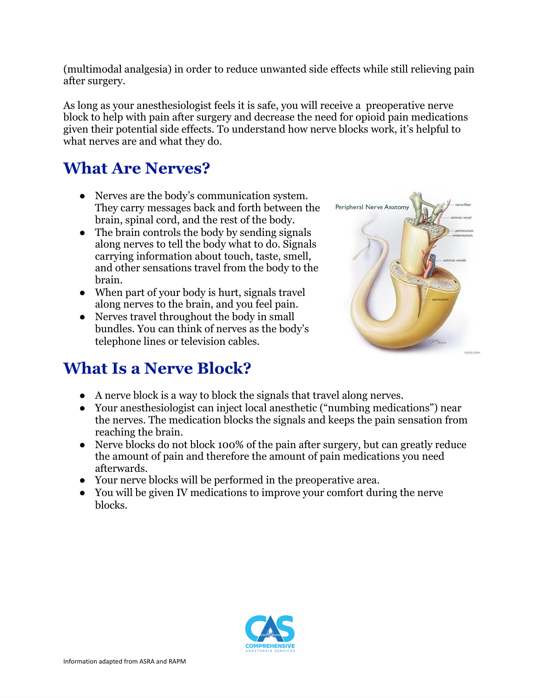(multimodal analgesia) in order to reduce unwanted side effects while still relieving pain after surgery.

As long as your anesthesiologist feels it is safe, you will receive a preoperative nerve block to help with pain after surgery and decrease the need for opioid pain medications given their potential side effects. To understand how nerve blocks work, it's helpful to what nerves are and what they do.

#### **What Are Nerves?**

- **●** Nerves are the body's communication system. They carry messages back and forth between the brain, spinal cord, and the rest of the body.
- **●** The brain controls the body by sending signals along nerves to tell the body what to do. Signals carrying information about touch, taste, smell, and other sensations travel from the body to the brain.
- **●** When part of your body is hurt, signals travel along nerves to the brain, and you feel pain.
- Nerves travel throughout the body in small bundles. You can think of nerves as the body's telephone lines or television cables.



#### **What Is a Nerve Block?**

- A nerve block is a way to block the signals that travel along nerves.
- Your anesthesiologist can inject local anesthetic ("numbing medications") near the nerves. The medication blocks the signals and keeps the pain sensation from reaching the brain.
- Nerve blocks do not block 100% of the pain after surgery, but can greatly reduce the amount of pain and therefore the amount of pain medications you need afterwards.
- Your nerve blocks will be performed in the preoperative area.
- You will be given IV medications to improve your comfort during the nerve blocks.

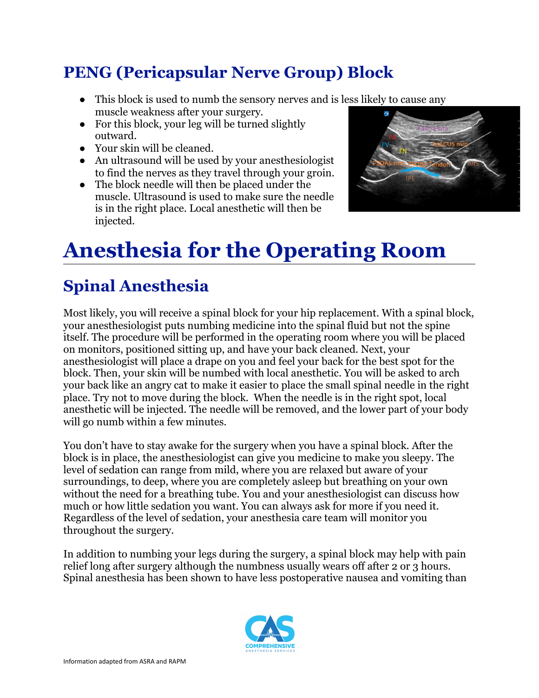## **PENG (Pericapsular Nerve Group) Block**

- This block is used to numb the sensory nerves and is less likely to cause any muscle weakness after your surgery.
- For this block, your leg will be turned slightly outward.
- Your skin will be cleaned.
- An ultrasound will be used by your anesthesiologist to find the nerves as they travel through your groin.
- The block needle will then be placed under the muscle. Ultrasound is used to make sure the needle is in the right place. Local anesthetic will then be injected.



# **Anesthesia for the Operating Room**

## **Spinal Anesthesia**

Most likely, you will receive a spinal block for your hip replacement. With a spinal block, your anesthesiologist puts numbing medicine into the spinal fluid but not the spine itself. The procedure will be performed in the operating room where you will be placed on monitors, positioned sitting up, and have your back cleaned. Next, your anesthesiologist will place a drape on you and feel your back for the best spot for the block. Then, your skin will be numbed with local anesthetic. You will be asked to arch your back like an angry cat to make it easier to place the small spinal needle in the right place. Try not to move during the block. When the needle is in the right spot, local anesthetic will be injected. The needle will be removed, and the lower part of your body will go numb within a few minutes.

You don't have to stay awake for the surgery when you have a spinal block. After the block is in place, the anesthesiologist can give you medicine to make you sleepy. The level of sedation can range from mild, where you are relaxed but aware of your surroundings, to deep, where you are completely asleep but breathing on your own without the need for a breathing tube. You and your anesthesiologist can discuss how much or how little sedation you want. You can always ask for more if you need it. Regardless of the level of sedation, your anesthesia care team will monitor you throughout the surgery.

In addition to numbing your legs during the surgery, a spinal block may help with pain relief long after surgery although the numbness usually wears off after 2 or 3 hours. Spinal anesthesia has been shown to have less postoperative nausea and vomiting than